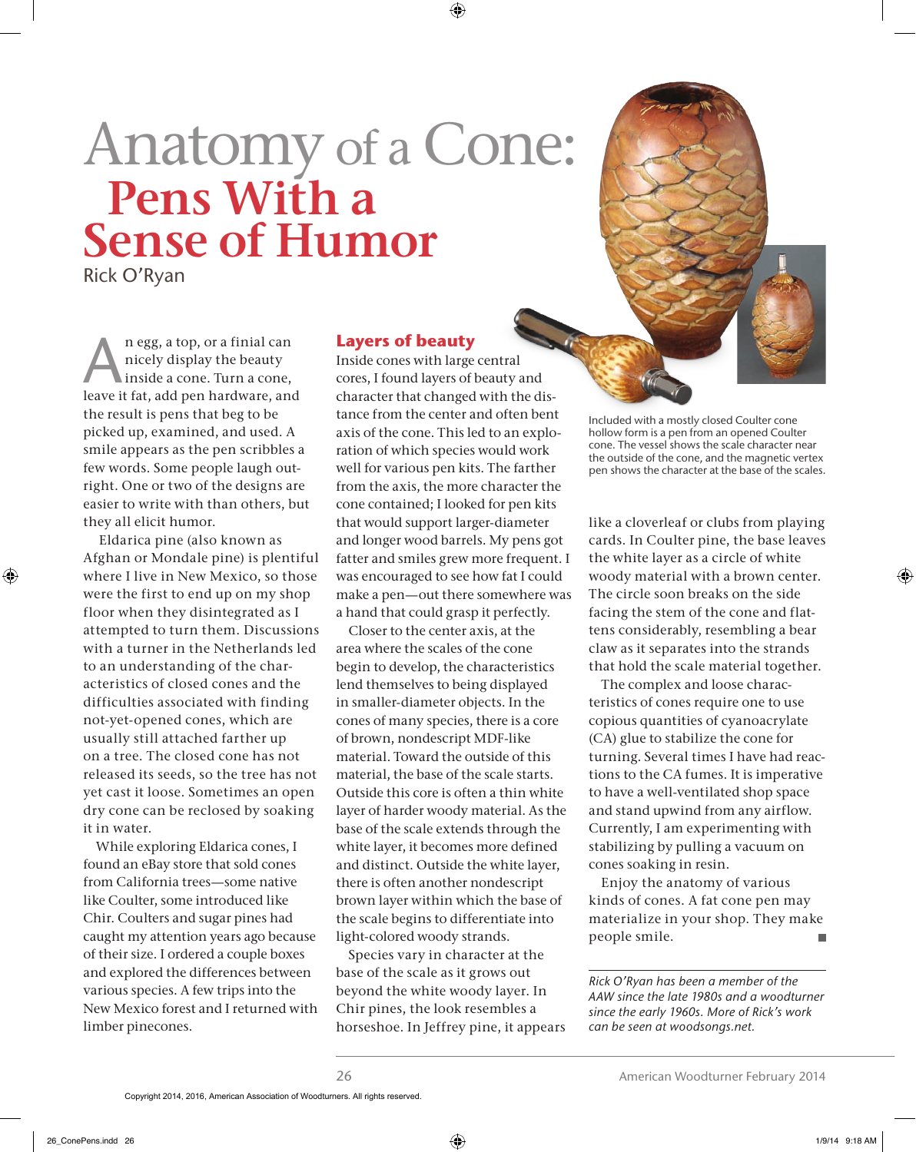## Anatomy of a Cone: **Pens With a Sense of Humor**

Rick O'Ryan

n egg, a top, or a finial can nicely display the beauty inside a cone. Turn a cone, leave it fat, add pen hardware, and the result is pens that beg to be picked up, examined, and used. A smile appears as the pen scribbles a few words. Some people laugh outright. One or two of the designs are easier to write with than others, but they all elicit humor.

 Eldarica pine (also known as Afghan or Mondale pine) is plentiful where I live in New Mexico, so those were the first to end up on my shop floor when they disintegrated as I attempted to turn them. Discussions with a turner in the Netherlands led to an understanding of the characteristics of closed cones and the difficulties associated with finding not-yet-opened cones, which are usually still attached farther up on a tree. The closed cone has not released its seeds, so the tree has not yet cast it loose. Sometimes an open dry cone can be reclosed by soaking it in water.

While exploring Eldarica cones, I found an eBay store that sold cones from California trees—some native like Coulter, some introduced like Chir. Coulters and sugar pines had caught my attention years ago because of their size. I ordered a couple boxes and explored the differences between various species. A few trips into the New Mexico forest and I returned with limber pinecones.

## **Layers of beauty**

Inside cones with large central cores, I found layers of beauty and character that changed with the distance from the center and often bent axis of the cone. This led to an exploration of which species would work well for various pen kits. The farther from the axis, the more character the cone contained; I looked for pen kits that would support larger-diameter and longer wood barrels. My pens got fatter and smiles grew more frequent. I was encouraged to see how fat I could make a pen—out there somewhere was a hand that could grasp it perfectly.

Closer to the center axis, at the area where the scales of the cone begin to develop, the characteristics lend themselves to being displayed in smaller-diameter objects. In the cones of many species, there is a core of brown, nondescript MDF-like material. Toward the outside of this material, the base of the scale starts. Outside this core is often a thin white layer of harder woody material. As the base of the scale extends through the white layer, it becomes more defined and distinct. Outside the white layer, there is often another nondescript brown layer within which the base of the scale begins to differentiate into light-colored woody strands.

Species vary in character at the base of the scale as it grows out beyond the white woody layer. In Chir pines, the look resembles a horseshoe. In Jeffrey pine, it appears Included with a mostly closed Coulter cone hollow form is a pen from an opened Coulter cone. The vessel shows the scale character near the outside of the cone, and the magnetic vertex pen shows the character at the base of the scales.

like a cloverleaf or clubs from playing cards. In Coulter pine, the base leaves the white layer as a circle of white woody material with a brown center. The circle soon breaks on the side facing the stem of the cone and flattens considerably, resembling a bear claw as it separates into the strands that hold the scale material together.

The complex and loose characteristics of cones require one to use copious quantities of cyanoacrylate (CA) glue to stabilize the cone for turning. Several times I have had reactions to the CA fumes. It is imperative to have a well-ventilated shop space and stand upwind from any airflow. Currently, I am experimenting with stabilizing by pulling a vacuum on cones soaking in resin.

Enjoy the anatomy of various kinds of cones. A fat cone pen may materialize in your shop. They make people smile. п

*Rick O'Ryan has been a member of the AAW since the late 1980s and a woodturner since the early 1960s. More of Rick's work can be seen at woodsongs.net.*